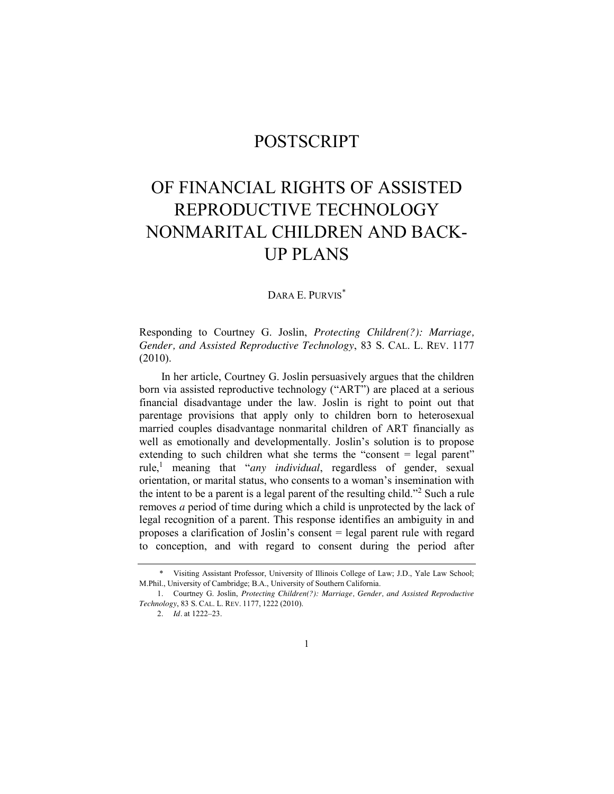## POSTSCRIPT

## OF FINANCIAL RIGHTS OF ASSISTED REPRODUCTIVE TECHNOLOGY NONMARITAL CHILDREN AND BACK-UP PLANS

## DARA E. PURVIS<sup>\*</sup>

Responding to Courtney G. Joslin, *Protecting Children(?): Marriage, Gender, and Assisted Reproductive Technology*, 83 S. CAL. L. REV. 1177 (2010).

<span id="page-0-0"></span>In her article, Courtney G. Joslin persuasively argues that the children born via assisted reproductive technology ("ART") are placed at a serious financial disadvantage under the law. Joslin is right to point out that parentage provisions that apply only to children born to heterosexual married couples disadvantage nonmarital children of ART financially as well as emotionally and developmentally. Joslin's solution is to propose extending to such children what she terms the "consent  $=$  legal parent" rule,<sup>1</sup> meaning that "*any individual*, regardless of gender, sexual orientation, or marital status, who consents to a woman's insemination with the intent to be a parent is a legal parent of the resulting child."<sup>2</sup> Such a rule removes *a* period of time during which a child is unprotected by the lack of legal recognition of a parent. This response identifies an ambiguity in and proposes a clarification of Joslin's consent = legal parent rule with regard to conception, and with regard to consent during the period after

<sup>\*</sup> Visiting Assistant Professor, University of Illinois College of Law; J.D., Yale Law School; M.Phil., University of Cambridge; B.A., University of Southern California.

<sup>1.</sup> Courtney G. Joslin, *Protecting Children(?): Marriage, Gender, and Assisted Reproductive Technology*, 83 S. CAL. L. REV. 1177, 1222 (2010).

<sup>2.</sup> *Id.* at 1222–23.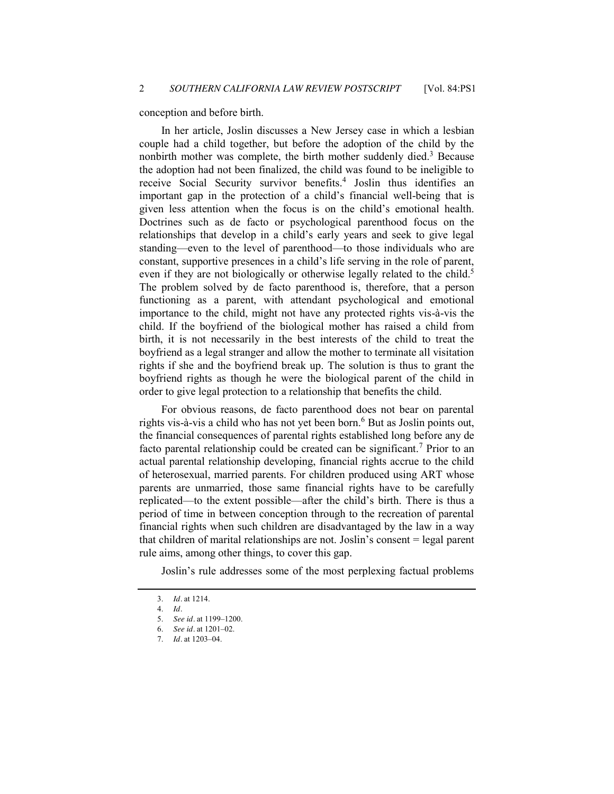conception and before birth.

In her article, Joslin discusses a New Jersey case in which a lesbian couple had a child together, but before the adoption of the child by the nonbirth mother was complete, the birth mother suddenly died.<sup>3</sup> Because the adoption had not been finalized, the child was found to be ineligible to receive Social Security survivor benefits.<sup>4</sup> Joslin thus identifies an important gap in the protection of a child's financial well-being that is given less attention when the focus is on the child's emotional health. Doctrines such as de facto or psychological parenthood focus on the relationships that develop in a child's early years and seek to give legal standing—even to the level of parenthood—to those individuals who are constant, supportive presences in a child's life serving in the role of parent, even if they are not biologically or otherwise legally related to the child.<sup>5</sup> The problem solved by de facto parenthood is, therefore, that a person functioning as a parent, with attendant psychological and emotional importance to the child, might not have any protected rights vis-à-vis the child. If the boyfriend of the biological mother has raised a child from birth, it is not necessarily in the best interests of the child to treat the boyfriend as a legal stranger and allow the mother to terminate all visitation rights if she and the boyfriend break up. The solution is thus to grant the boyfriend rights as though he were the biological parent of the child in order to give legal protection to a relationship that benefits the child.

For obvious reasons, de facto parenthood does not bear on parental rights vis-à-vis a child who has not yet been born.<sup>6</sup> But as Joslin points out, the financial consequences of parental rights established long before any de facto parental relationship could be created can be significant.<sup>7</sup> Prior to an actual parental relationship developing, financial rights accrue to the child of heterosexual, married parents. For children produced using ART whose parents are unmarried, those same financial rights have to be carefully replicated—to the extent possible—after the child's birth. There is thus a period of time in between conception through to the recreation of parental financial rights when such children are disadvantaged by the law in a way that children of marital relationships are not. Joslin's consent = legal parent rule aims, among other things, to cover this gap.

Joslin's rule addresses some of the most perplexing factual problems

<sup>3.</sup> *Id.* at 1214.

<sup>4.</sup> *Id.*

<sup>5.</sup> *See id.* at 1199–1200.

<sup>6.</sup> *See id.* at 1201–02.

<sup>7.</sup> *Id.* at 1203–04.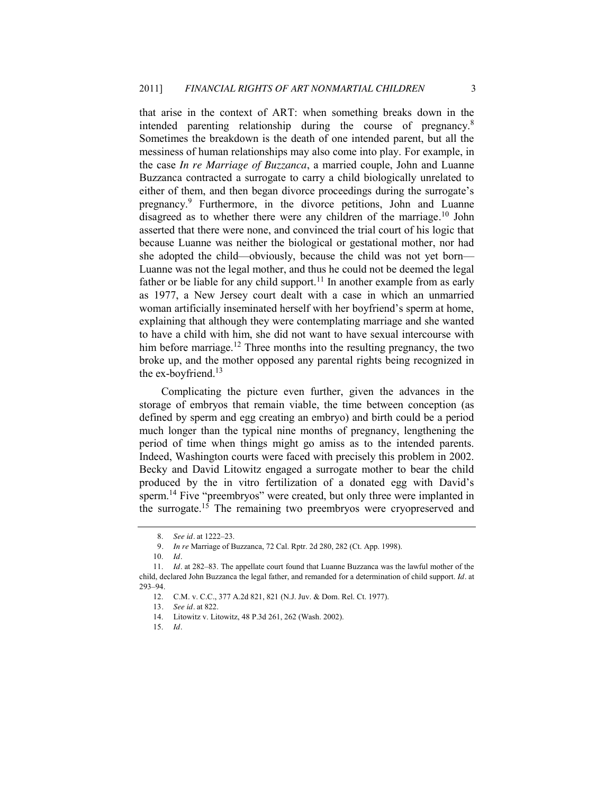that arise in the context of ART: when something breaks down in the intended parenting relationship during the course of pregnancy.<sup>8</sup> Sometimes the breakdown is the death of one intended parent, but all the messiness of human relationships may also come into play. For example, in the case *In re Marriage of Buzzanca*, a married couple, John and Luanne Buzzanca contracted a surrogate to carry a child biologically unrelated to either of them, and then began divorce proceedings during the surrogate's pregnancy.<sup>9</sup> Furthermore, in the divorce petitions, John and Luanne disagreed as to whether there were any children of the marriage. <sup>10</sup> John asserted that there were none, and convinced the trial court of his logic that because Luanne was neither the biological or gestational mother, nor had she adopted the child—obviously, because the child was not yet born— Luanne was not the legal mother, and thus he could not be deemed the legal father or be liable for any child support.<sup>11</sup> In another example from as early as 1977, a New Jersey court dealt with a case in which an unmarried woman artificially inseminated herself with her boyfriend's sperm at home, explaining that although they were contemplating marriage and she wanted to have a child with him, she did not want to have sexual intercourse with him before marriage.<sup>12</sup> Three months into the resulting pregnancy, the two broke up, and the mother opposed any parental rights being recognized in the ex-boyfriend. $13$ 

Complicating the picture even further, given the advances in the storage of embryos that remain viable, the time between conception (as defined by sperm and egg creating an embryo) and birth could be a period much longer than the typical nine months of pregnancy, lengthening the period of time when things might go amiss as to the intended parents. Indeed, Washington courts were faced with precisely this problem in 2002. Becky and David Litowitz engaged a surrogate mother to bear the child produced by the in vitro fertilization of a donated egg with David's sperm.<sup>14</sup> Five "preembryos" were created, but only three were implanted in the surrogate.<sup>15</sup> The remaining two preembryos were cryopreserved and

<span id="page-2-0"></span><sup>8.</sup> *See id.* at 1222–23.

<sup>9</sup>*. In re* Marriage of Buzzanca, 72 Cal. Rptr. 2d 280, 282 (Ct. App. 1998).

<sup>10.</sup> *Id.*

<sup>11.</sup> *Id.* at 282–83. The appellate court found that Luanne Buzzanca was the lawful mother of the child, declared John Buzzanca the legal father, and remanded for a determination of child support. *Id.* at 293–94.

<sup>12.</sup> C.M. v. C.C., 377 A.2d 821, 821 (N.J. Juv. & Dom. Rel. Ct. 1977).

<sup>13</sup>*. See id.* at 822.

<sup>14.</sup> Litowitz v. Litowitz, 48 P.3d 261, 262 (Wash. 2002).

<sup>15.</sup> *Id.*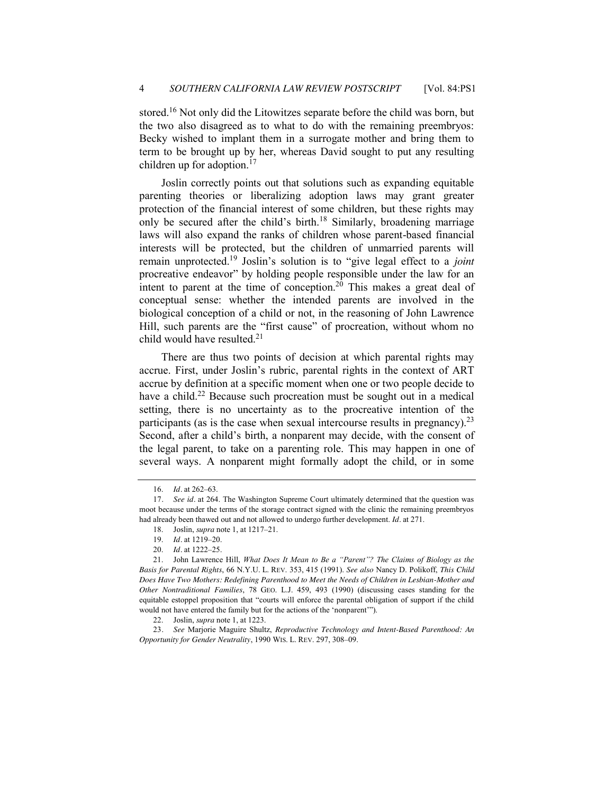stored.<sup>16</sup> Not only did the Litowitzes separate before the child was born, but the two also disagreed as to what to do with the remaining preembryos: Becky wished to implant them in a surrogate mother and bring them to term to be brought up by her, whereas David sought to put any resulting children up for adoption.<sup>17</sup>

<span id="page-3-0"></span>Joslin correctly points out that solutions such as expanding equitable parenting theories or liberalizing adoption laws may grant greater protection of the financial interest of some children, but these rights may only be secured after the child's birth.<sup>18</sup> Similarly, broadening marriage laws will also expand the ranks of children whose parent-based financial interests will be protected, but the children of unmarried parents will remain unprotected.<sup>19</sup> Joslin's solution is to "give legal effect to a *joint* procreative endeavor" by holding people responsible under the law for an intent to parent at the time of conception.<sup>20</sup> This makes a great deal of conceptual sense: whether the intended parents are involved in the biological conception of a child or not, in the reasoning of John Lawrence Hill, such parents are the "first cause" of procreation, without whom no child would have resulted. $2<sup>1</sup>$ 

<span id="page-3-1"></span>There are thus two points of decision at which parental rights may accrue. First, under Joslin's rubric, parental rights in the context of ART accrue by definition at a specific moment when one or two people decide to have a child.<sup>22</sup> Because such procreation must be sought out in a medical setting, there is no uncertainty as to the procreative intention of the participants (as is the case when sexual intercourse results in pregnancy).<sup>23</sup> Second, after a child's birth, a nonparent may decide, with the consent of the legal parent, to take on a parenting role. This may happen in one of several ways. A nonparent might formally adopt the child, or in some

23*. See* Marjorie Maguire Shultz, *Reproductive Technology and Intent-Based Parenthood: An Opportunity for Gender Neutrality*, 1990 WIS. L. REV. 297, 308–09.

<sup>16.</sup> *Id.* at 262–63.

<sup>17</sup>*. See id.* at 264. The Washington Supreme Court ultimately determined that the question was moot because under the terms of the storage contract signed with the clinic the remaining preembryos had already been thawed out and not allowed to undergo further development. *Id.* at 271.

<sup>18.</sup> Joslin, *supra* not[e 1,](#page-0-0) at 1217–21.

<sup>19.</sup> *Id.* at 1219–20.

<sup>20.</sup> *Id.* at 1222–25.

<sup>21.</sup> John Lawrence Hill, *What Does It Mean to Be a "Parent"? The Claims of Biology as the Basis for Parental Rights*, 66 N.Y.U. L. REV. 353, 415 (1991). *See also* Nancy D. Polikoff, *This Child Does Have Two Mothers: Redefining Parenthood to Meet the Needs of Children in Lesbian-Mother and Other Nontraditional Families*, 78 GEO. L.J. 459, 493 (1990) (discussing cases standing for the equitable estoppel proposition that "courts will enforce the parental obligation of support if the child would not have entered the family but for the actions of the 'nonparent'").

<sup>22.</sup> Joslin, *supra* note [1,](#page-0-0) at 1223.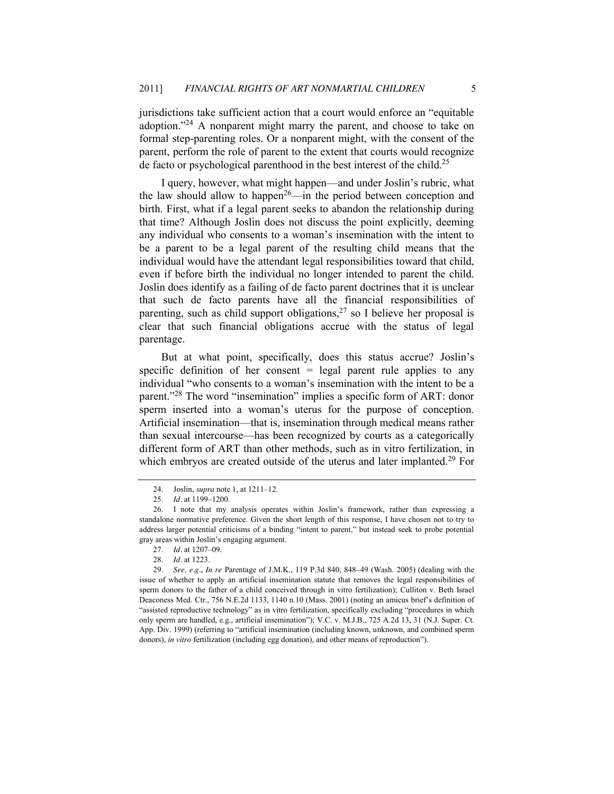jurisdictions take sufficient action that a court would enforce an "equitable" adoption.<sup>224</sup> A nonparent might marry the parent, and choose to take on formal step-parenting roles. Or a nonparent might, with the consent of the parent, perform the role of parent to the extent that courts would recognize de facto or psychological parenthood in the best interest of the child.<sup>25</sup>

I query, however, what might happen—and under Joslin's rubric, what the law should allow to happen<sup>26</sup>—in the period between conception and birth. First, what if a legal parent seeks to abandon the relationship during that time? Although Joslin does not discuss the point explicitly, deeming any individual who consents to a woman's insemination with the intent to be a parent to be a legal parent of the resulting child means that the individual would have the attendant legal responsibilities toward that child, even if before birth the individual no longer intended to parent the child. Joslin does identify as a failing of de facto parent doctrines that it is unclear that such de facto parents have all the financial responsibilities of parenting, such as child support obligations,  $27$  so I believe her proposal is clear that such financial obligations accrue with the status of legal parentage.

But at what point, specifically, does this status accrue? Joslin's specific definition of her consent  $=$  legal parent rule applies to any individual "who consents to a woman's insemination with the intent to be a parent."<sup>28</sup> The word "insemination" implies a specific form of ART: donor sperm inserted into a woman's uterus for the purpose of conception. Artificial insemination—that is, insemination through medical means rather than sexual intercourse—has been recognized by courts as a categorically different form of ART than other methods, such as in vitro fertilization, in which embryos are created outside of the uterus and later implanted.<sup>29</sup> For

<sup>24.</sup> Joslin, *supra* note [1,](#page-0-0) at 1211–12.

<sup>25.</sup> *Id.* at 1199–1200.

<sup>26.</sup> I note that my analysis operates within Joslin's framework, rather than expressing a standalone normative preference. Given the short length of this response, I have chosen not to try to address larger potential criticisms of a binding "intent to parent," but instead seek to probe potential gray areas within Joslin's engaging argument.

<sup>27.</sup> *Id.* at 1207–09.

<sup>28.</sup> *Id.* at 1223.

<sup>29</sup>*. See, e.g.*, *In re* Parentage of J.M.K., 119 P.3d 840, 848–49 (Wash. 2005) (dealing with the issue of whether to apply an artificial insemination statute that removes the legal responsibilities of sperm donors to the father of a child conceived through in vitro fertilization); Culliton v. Beth Israel Deaconess Med. Ctr., 756 N.E.2d 1133, 1140 n.10 (Mass. 2001) (noting an amicus brief's definition of "assisted reproductive technology" as in vitro fertilization, specifically excluding "procedures in which only sperm are handled, e.g., artificial insemination"); V.C. v. M.J.B., 725 A.2d 13, 31 (N.J. Super. Ct. App. Div. 1999) (referring to "artificial insemination (including known, unknown, and combined sperm donors), *in vitro* fertilization (including egg donation), and other means of reproduction").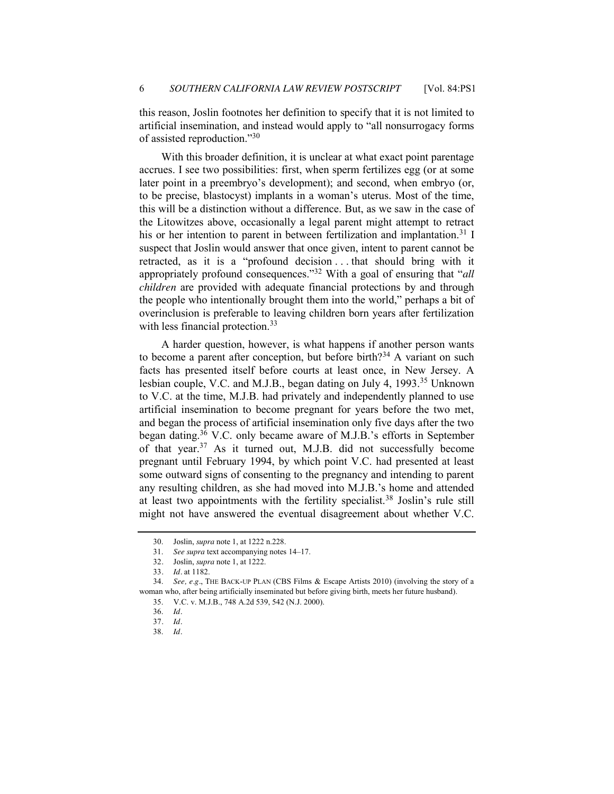this reason, Joslin footnotes her definition to specify that it is not limited to artificial insemination, and instead would apply to "all nonsurrogacy forms of assisted reproduction." $30$ 

With this broader definition, it is unclear at what exact point parentage accrues. I see two possibilities: first, when sperm fertilizes egg (or at some later point in a preembryo's development); and second, when embryo (or, to be precise, blastocyst) implants in a woman's uterus. Most of the time, this will be a distinction without a difference. But, as we saw in the case of the Litowitzes above, occasionally a legal parent might attempt to retract his or her intention to parent in between fertilization and implantation.<sup>31</sup> I suspect that Joslin would answer that once given, intent to parent cannot be retracted, as it is a "profound decision . . . that should bring with it appropriately profound consequences.<sup>32</sup> With a goal of ensuring that "*all children* are provided with adequate financial protections by and through the people who intentionally brought them into the world," perhaps a bit of overinclusion is preferable to leaving children born years after fertilization with less financial protection.<sup>33</sup>

A harder question, however, is what happens if another person wants to become a parent after conception, but before birth?<sup>34</sup> A variant on such facts has presented itself before courts at least once, in New Jersey. A lesbian couple, V.C. and M.J.B., began dating on July 4, 1993.<sup>35</sup> Unknown to V.C. at the time, M.J.B. had privately and independently planned to use artificial insemination to become pregnant for years before the two met, and began the process of artificial insemination only five days after the two began dating.<sup>36</sup> V.C. only became aware of M.J.B.'s efforts in September of that year.37 As it turned out, M.J.B. did not successfully become pregnant until February 1994, by which point V.C. had presented at least some outward signs of consenting to the pregnancy and intending to parent any resulting children, as she had moved into M.J.B.'s home and attended at least two appointments with the fertility specialist.<sup>38</sup> Joslin's rule still might not have answered the eventual disagreement about whether V.C.

34. *See, e.g.*, THE BACK-UP PLAN (CBS Films & Escape Artists 2010) (involving the story of a woman who, after being artificially inseminated but before giving birth, meets her future husband).

<sup>30.</sup> Joslin, *supra* not[e 1,](#page-0-0) at 1222 n.228.

<sup>31.</sup> *See supra* text accompanying notes [14](#page-2-0)–[17.](#page-3-0)

<sup>32</sup>*.* Joslin, *supra* note [1,](#page-0-0) at 1222.

<sup>33</sup>*. Id.* at 1182.

<sup>35.</sup> V.C. v. M.J.B., 748 A.2d 539, 542 (N.J. 2000).

<sup>36.</sup> *Id.*

<sup>37</sup>*. Id.*

<sup>38.</sup> *Id.*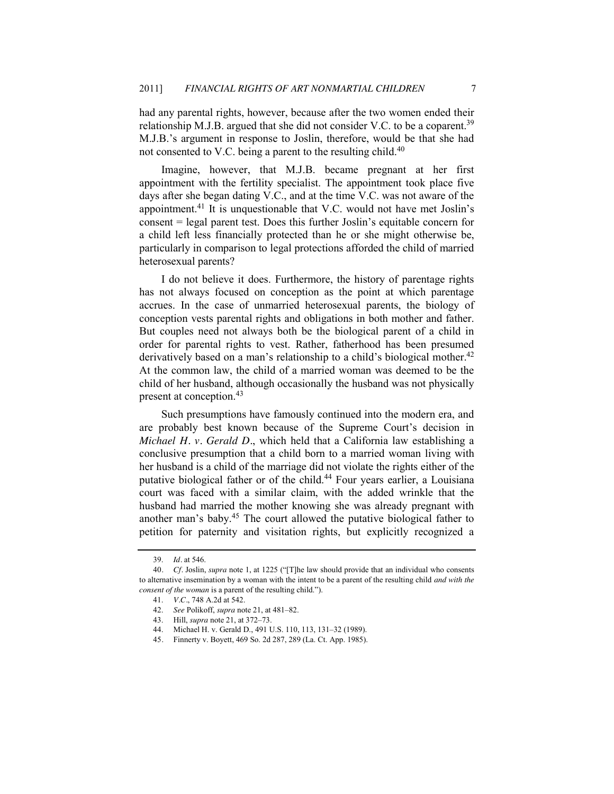had any parental rights, however, because after the two women ended their relationship M.J.B. argued that she did not consider V.C. to be a coparent.<sup>39</sup> M.J.B.'s argument in response to Joslin, therefore, would be that she had not consented to V.C. being a parent to the resulting child.<sup>40</sup>

Imagine, however, that M.J.B. became pregnant at her first appointment with the fertility specialist. The appointment took place five days after she began dating V.C., and at the time V.C. was not aware of the appointment.41 It is unquestionable that V.C. would not have met Joslin's consent = legal parent test. Does this further Joslin's equitable concern for a child left less financially protected than he or she might otherwise be, particularly in comparison to legal protections afforded the child of married heterosexual parents?

I do not believe it does. Furthermore, the history of parentage rights has not always focused on conception as the point at which parentage accrues. In the case of unmarried heterosexual parents, the biology of conception vests parental rights and obligations in both mother and father. But couples need not always both be the biological parent of a child in order for parental rights to vest. Rather, fatherhood has been presumed derivatively based on a man's relationship to a child's biological mother.<sup>42</sup> At the common law, the child of a married woman was deemed to be the child of her husband, although occasionally the husband was not physically present at conception.<sup>43</sup>

Such presumptions have famously continued into the modern era, and are probably best known because of the Supreme Court's decision in *Michael H. v. Gerald D.*, which held that a California law establishing a conclusive presumption that a child born to a married woman living with her husband is a child of the marriage did not violate the rights either of the putative biological father or of the child.<sup>44</sup> Four years earlier, a Louisiana court was faced with a similar claim, with the added wrinkle that the husband had married the mother knowing she was already pregnant with another man's baby.<sup>45</sup> The court allowed the putative biological father to petition for paternity and visitation rights, but explicitly recognized a

<sup>39.</sup> *Id.* at 546.

<sup>40.</sup> *Cf.* Joslin, *supra* not[e 1,](#page-0-0) at 1225 ("The law should provide that an individual who consents to alternative insemination by a woman with the intent to be a parent of the resulting child *and with the consent of the woman* is a parent of the resulting child.").

<sup>41.</sup> *V.C.*, 748 A.2d at 542.

<sup>42.</sup> *See* Polikoff, *supra* not[e 21,](#page-3-1) at 481–82.

<sup>43.</sup> Hill, *supra* not[e 21,](#page-3-1) at 372–73.

<sup>44.</sup> Michael H. v. Gerald D., 491 U.S. 110, 113, 131–32 (1989).

<sup>45</sup>*.* Finnerty v. Boyett, 469 So. 2d 287, 289 (La. Ct. App. 1985).